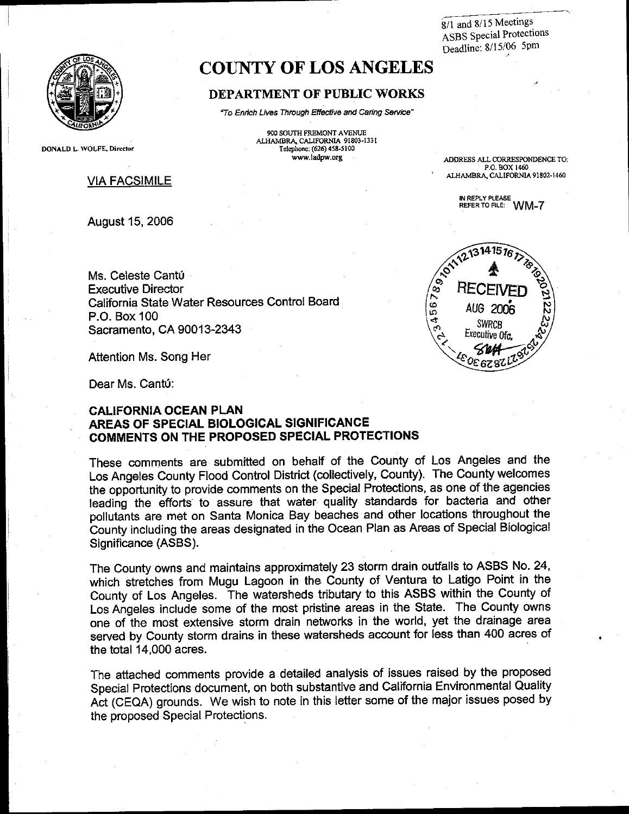8/1 and 8/15 Meetings **ASBS** Special Protections Deadline: 8/15/06 5pm



# **COUNTY OF LOS ANGELES**

#### DEPARTMENT OF PUBLIC WORKS

"To Enrich Lives Through Effective and Caring Service" 900 SOUTH FREMONT AVENUE

ALHAMBRA, CALIFORNIA 91803-1331

Telephone: (626) 458-5100 www.ladpw.org

DONALD L. WOLFE, Director

#### **VIA FACSIMILE**

**August 15, 2006** 

ADDRESS ALL CORRESPONDENCE TO: P.O. BOX 1460 ALHAMBRA, CALIFORNIA 91802-1460

> IN REPLY PLEASE REFER TO FILE: WM-7

Ms. Celeste Cantú **Executive Director** California State Water Resources Control Board P.O. Box 100 Sacramento, CA 90013-2343

Attention Ms. Song Her

Dear Ms. Cantú:

#### **CALIFORNIA OCEAN PLAN** AREAS OF SPECIAL BIOLOGICAL SIGNIFICANCE COMMENTS ON THE PROPOSED SPECIAL PROTECTIONS

These comments are submitted on behalf of the County of Los Angeles and the Los Angeles County Flood Control District (collectively, County). The County welcomes the opportunity to provide comments on the Special Protections, as one of the agencies leading the efforts to assure that water quality standards for bacteria and other pollutants are met on Santa Monica Bay beaches and other locations throughout the County including the areas designated in the Ocean Plan as Areas of Special Biological Significance (ASBS).

The County owns and maintains approximately 23 storm drain outfalls to ASBS No. 24, which stretches from Mugu Lagoon in the County of Ventura to Latigo Point in the County of Los Angeles. The watersheds tributary to this ASBS within the County of Los Angeles include some of the most pristine areas in the State. The County owns one of the most extensive storm drain networks in the world, yet the drainage area served by County storm drains in these watersheds account for less than 400 acres of the total 14,000 acres.

The attached comments provide a detailed analysis of issues raised by the proposed Special Protections document, on both substantive and California Environmental Quality Act (CEQA) grounds. We wish to note in this letter some of the major issues posed by the proposed Special Protections.

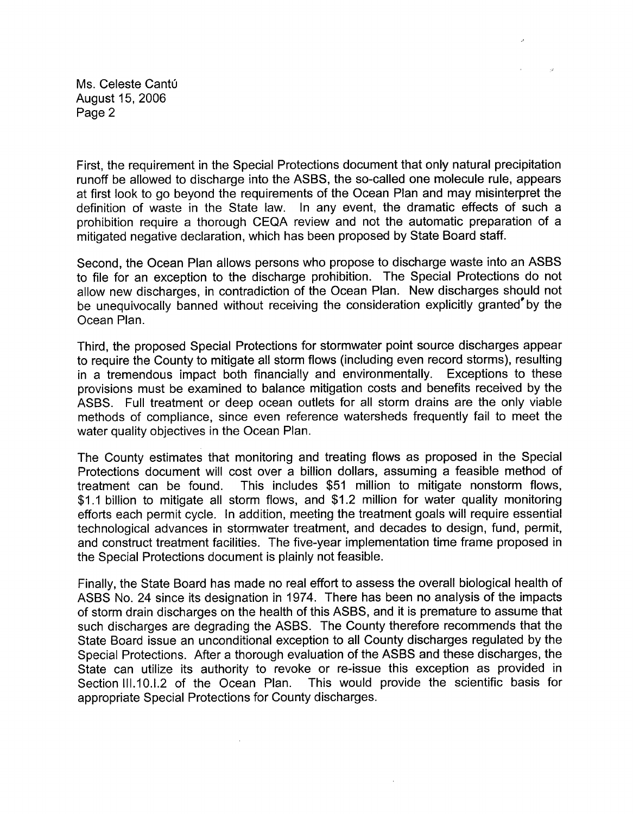Ms. Celeste Cantú August 15, 2006 Page 2

First, the requirement in the Special Protections document that only natural precipitation runoff be allowed to discharge into the ASBS, the so-called one molecule rule, appears at first look to go beyond the requirements of the Ocean Plan and may misinterpret the In any event, the dramatic effects of such a definition of waste in the State law. prohibition require a thorough CEQA review and not the automatic preparation of a mitigated negative declaration, which has been proposed by State Board staff.

Second, the Ocean Plan allows persons who propose to discharge waste into an ASBS to file for an exception to the discharge prohibition. The Special Protections do not allow new discharges, in contradiction of the Ocean Plan. New discharges should not be unequivocally banned without receiving the consideration explicitly granted<sup>\*</sup>by the Ocean Plan.

Third, the proposed Special Protections for stormwater point source discharges appear to require the County to mitigate all storm flows (including even record storms), resulting in a tremendous impact both financially and environmentally. Exceptions to these provisions must be examined to balance mitigation costs and benefits received by the ASBS. Full treatment or deep ocean outlets for all storm drains are the only viable methods of compliance, since even reference watersheds frequently fail to meet the water quality objectives in the Ocean Plan.

The County estimates that monitoring and treating flows as proposed in the Special Protections document will cost over a billion dollars, assuming a feasible method of This includes \$51 million to mitigate nonstorm flows, treatment can be found. \$1.1 billion to mitigate all storm flows, and \$1.2 million for water quality monitoring efforts each permit cycle. In addition, meeting the treatment goals will require essential technological advances in stormwater treatment, and decades to design, fund, permit, and construct treatment facilities. The five-year implementation time frame proposed in the Special Protections document is plainly not feasible.

Finally, the State Board has made no real effort to assess the overall biological health of ASBS No. 24 since its designation in 1974. There has been no analysis of the impacts of storm drain discharges on the health of this ASBS, and it is premature to assume that such discharges are degrading the ASBS. The County therefore recommends that the State Board issue an unconditional exception to all County discharges regulated by the Special Protections. After a thorough evaluation of the ASBS and these discharges, the State can utilize its authority to revoke or re-issue this exception as provided in Section III.10.I.2 of the Ocean Plan. This would provide the scientific basis for appropriate Special Protections for County discharges.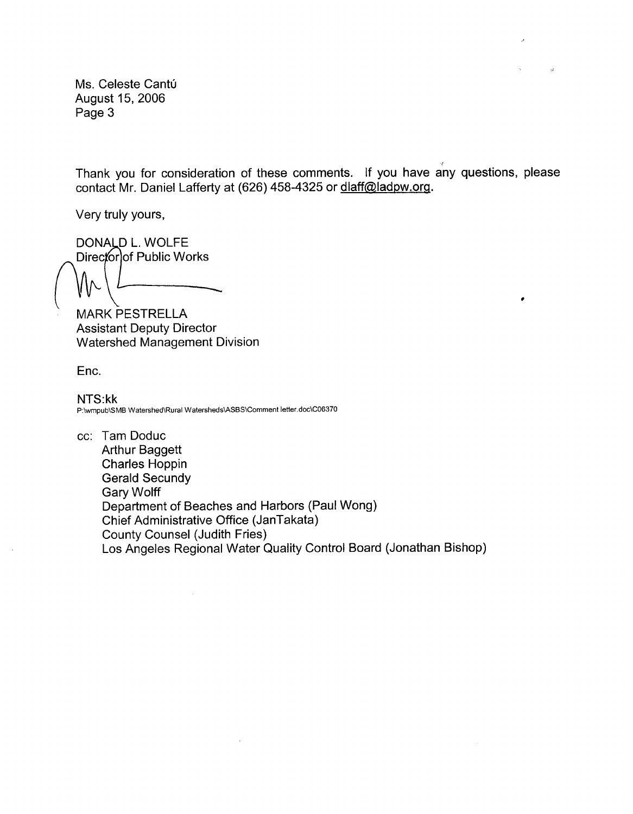Ms. Celeste Cantú August 15, 2006 Page 3

Thank you for consideration of these comments. If you have any questions, please contact Mr. Daniel Lafferty at (626) 458-4325 or dlaff@ladpw.org.

 $\bullet$ 

Very truly yours,

DONALD L. WOLFE Director of Public Works

**MARK PESTRELLA Assistant Deputy Director** Watershed Management Division

Enc.

NTS:kk P:\wmpub\SMB Watershed\Rural Watersheds\ASBS\Comment letter.doc\C06370

cc: Tam Doduc **Arthur Baggett Charles Hoppin Gerald Secundy Gary Wolff** Department of Beaches and Harbors (Paul Wong) Chief Administrative Office (JanTakata) **County Counsel (Judith Fries)** Los Angeles Regional Water Quality Control Board (Jonathan Bishop)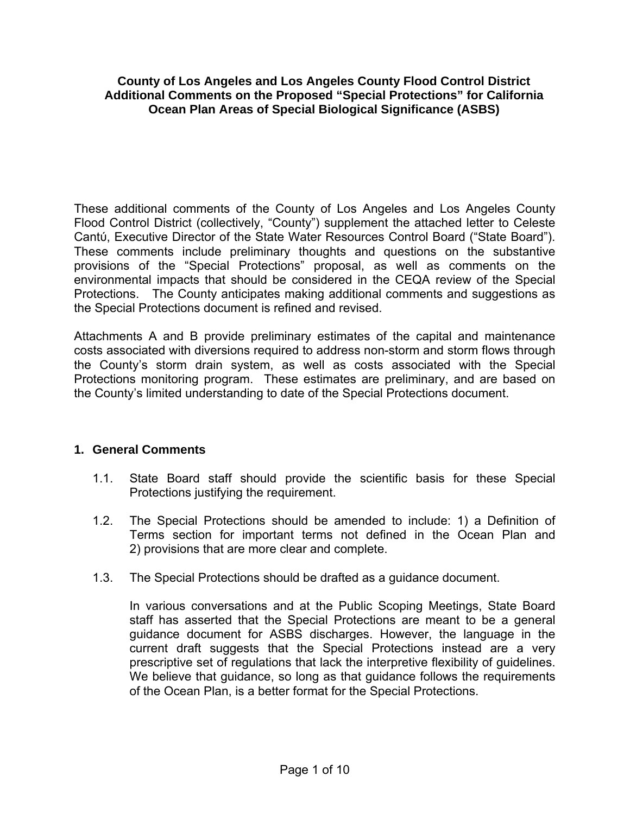## **County of Los Angeles and Los Angeles County Flood Control District Additional Comments on the Proposed "Special Protections" for California Ocean Plan Areas of Special Biological Significance (ASBS)**

These additional comments of the County of Los Angeles and Los Angeles County Flood Control District (collectively, "County") supplement the attached letter to Celeste Cantύ, Executive Director of the State Water Resources Control Board ("State Board"). These comments include preliminary thoughts and questions on the substantive provisions of the "Special Protections" proposal, as well as comments on the environmental impacts that should be considered in the CEQA review of the Special Protections. The County anticipates making additional comments and suggestions as the Special Protections document is refined and revised.

Attachments A and B provide preliminary estimates of the capital and maintenance costs associated with diversions required to address non-storm and storm flows through the County's storm drain system, as well as costs associated with the Special Protections monitoring program. These estimates are preliminary, and are based on the County's limited understanding to date of the Special Protections document.

## **1. General Comments**

- 1.1. State Board staff should provide the scientific basis for these Special Protections justifying the requirement.
- 1.2. The Special Protections should be amended to include: 1) a Definition of Terms section for important terms not defined in the Ocean Plan and 2) provisions that are more clear and complete.
- 1.3. The Special Protections should be drafted as a guidance document.

In various conversations and at the Public Scoping Meetings, State Board staff has asserted that the Special Protections are meant to be a general guidance document for ASBS discharges. However, the language in the current draft suggests that the Special Protections instead are a very prescriptive set of regulations that lack the interpretive flexibility of guidelines. We believe that guidance, so long as that guidance follows the requirements of the Ocean Plan, is a better format for the Special Protections.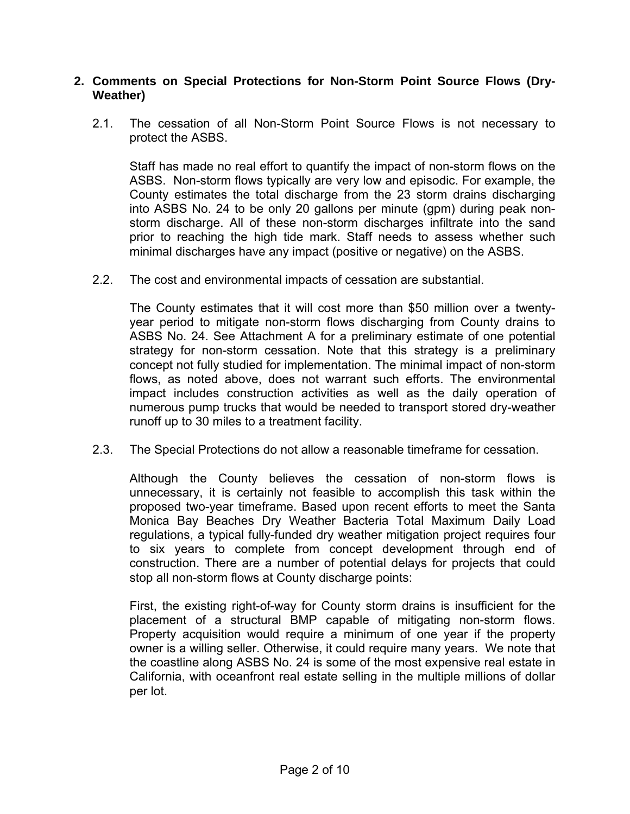## **2. Comments on Special Protections for Non-Storm Point Source Flows (Dry-Weather)**

2.1. The cessation of all Non-Storm Point Source Flows is not necessary to protect the ASBS.

Staff has made no real effort to quantify the impact of non-storm flows on the ASBS. Non-storm flows typically are very low and episodic. For example, the County estimates the total discharge from the 23 storm drains discharging into ASBS No. 24 to be only 20 gallons per minute (gpm) during peak nonstorm discharge. All of these non-storm discharges infiltrate into the sand prior to reaching the high tide mark. Staff needs to assess whether such minimal discharges have any impact (positive or negative) on the ASBS.

2.2. The cost and environmental impacts of cessation are substantial.

The County estimates that it will cost more than \$50 million over a twentyyear period to mitigate non-storm flows discharging from County drains to ASBS No. 24. See Attachment A for a preliminary estimate of one potential strategy for non-storm cessation. Note that this strategy is a preliminary concept not fully studied for implementation. The minimal impact of non-storm flows, as noted above, does not warrant such efforts. The environmental impact includes construction activities as well as the daily operation of numerous pump trucks that would be needed to transport stored dry-weather runoff up to 30 miles to a treatment facility.

2.3. The Special Protections do not allow a reasonable timeframe for cessation.

Although the County believes the cessation of non-storm flows is unnecessary, it is certainly not feasible to accomplish this task within the proposed two-year timeframe. Based upon recent efforts to meet the Santa Monica Bay Beaches Dry Weather Bacteria Total Maximum Daily Load regulations, a typical fully-funded dry weather mitigation project requires four to six years to complete from concept development through end of construction. There are a number of potential delays for projects that could stop all non-storm flows at County discharge points:

First, the existing right-of-way for County storm drains is insufficient for the placement of a structural BMP capable of mitigating non-storm flows. Property acquisition would require a minimum of one year if the property owner is a willing seller. Otherwise, it could require many years. We note that the coastline along ASBS No. 24 is some of the most expensive real estate in California, with oceanfront real estate selling in the multiple millions of dollar per lot.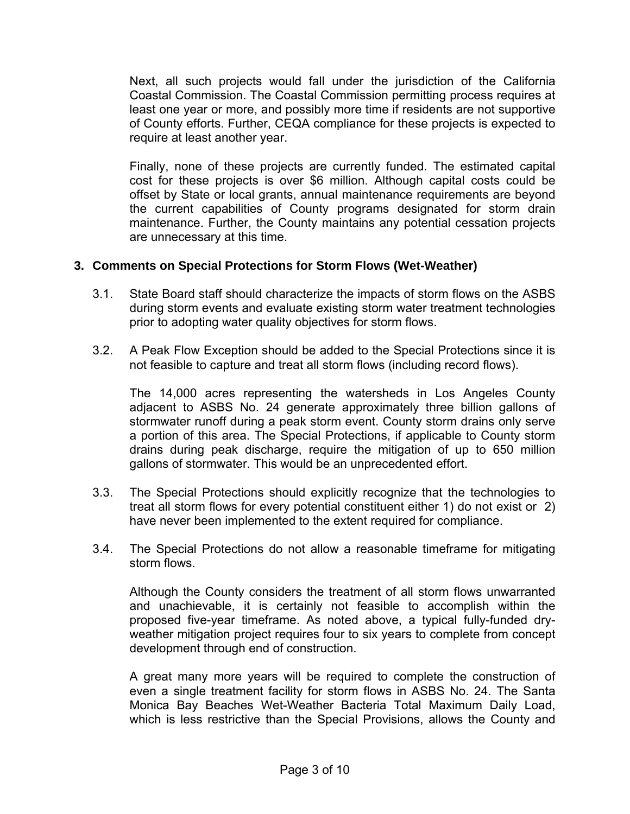Next, all such projects would fall under the jurisdiction of the California Coastal Commission. The Coastal Commission permitting process requires at least one year or more, and possibly more time if residents are not supportive of County efforts. Further, CEQA compliance for these projects is expected to require at least another year.

Finally, none of these projects are currently funded. The estimated capital cost for these projects is over \$6 million. Although capital costs could be offset by State or local grants, annual maintenance requirements are beyond the current capabilities of County programs designated for storm drain maintenance. Further, the County maintains any potential cessation projects are unnecessary at this time.

## **3. Comments on Special Protections for Storm Flows (Wet-Weather)**

- 3.1. State Board staff should characterize the impacts of storm flows on the ASBS during storm events and evaluate existing storm water treatment technologies prior to adopting water quality objectives for storm flows.
- 3.2. A Peak Flow Exception should be added to the Special Protections since it is not feasible to capture and treat all storm flows (including record flows).

The 14,000 acres representing the watersheds in Los Angeles County adjacent to ASBS No. 24 generate approximately three billion gallons of stormwater runoff during a peak storm event. County storm drains only serve a portion of this area. The Special Protections, if applicable to County storm drains during peak discharge, require the mitigation of up to 650 million gallons of stormwater. This would be an unprecedented effort.

- 3.3. The Special Protections should explicitly recognize that the technologies to treat all storm flows for every potential constituent either 1) do not exist or 2) have never been implemented to the extent required for compliance.
- 3.4. The Special Protections do not allow a reasonable timeframe for mitigating storm flows.

Although the County considers the treatment of all storm flows unwarranted and unachievable, it is certainly not feasible to accomplish within the proposed five-year timeframe. As noted above, a typical fully-funded dryweather mitigation project requires four to six years to complete from concept development through end of construction.

A great many more years will be required to complete the construction of even a single treatment facility for storm flows in ASBS No. 24. The Santa Monica Bay Beaches Wet-Weather Bacteria Total Maximum Daily Load, which is less restrictive than the Special Provisions, allows the County and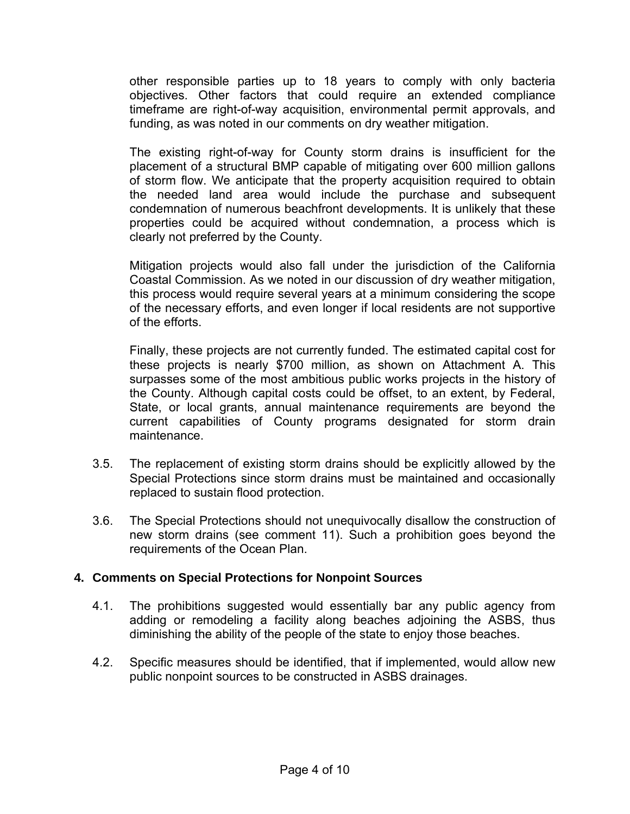other responsible parties up to 18 years to comply with only bacteria objectives. Other factors that could require an extended compliance timeframe are right-of-way acquisition, environmental permit approvals, and funding, as was noted in our comments on dry weather mitigation.

The existing right-of-way for County storm drains is insufficient for the placement of a structural BMP capable of mitigating over 600 million gallons of storm flow. We anticipate that the property acquisition required to obtain the needed land area would include the purchase and subsequent condemnation of numerous beachfront developments. It is unlikely that these properties could be acquired without condemnation, a process which is clearly not preferred by the County.

Mitigation projects would also fall under the jurisdiction of the California Coastal Commission. As we noted in our discussion of dry weather mitigation, this process would require several years at a minimum considering the scope of the necessary efforts, and even longer if local residents are not supportive of the efforts.

Finally, these projects are not currently funded. The estimated capital cost for these projects is nearly \$700 million, as shown on Attachment A. This surpasses some of the most ambitious public works projects in the history of the County. Although capital costs could be offset, to an extent, by Federal, State, or local grants, annual maintenance requirements are beyond the current capabilities of County programs designated for storm drain maintenance.

- 3.5. The replacement of existing storm drains should be explicitly allowed by the Special Protections since storm drains must be maintained and occasionally replaced to sustain flood protection.
- 3.6. The Special Protections should not unequivocally disallow the construction of new storm drains (see comment 11). Such a prohibition goes beyond the requirements of the Ocean Plan.

## **4. Comments on Special Protections for Nonpoint Sources**

- 4.1. The prohibitions suggested would essentially bar any public agency from adding or remodeling a facility along beaches adjoining the ASBS, thus diminishing the ability of the people of the state to enjoy those beaches.
- 4.2. Specific measures should be identified, that if implemented, would allow new public nonpoint sources to be constructed in ASBS drainages.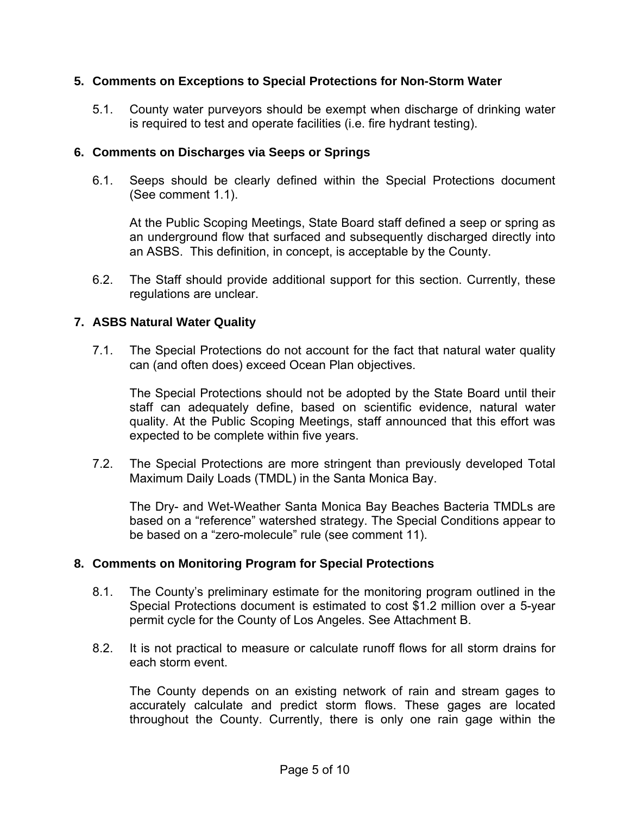## **5. Comments on Exceptions to Special Protections for Non-Storm Water**

5.1. County water purveyors should be exempt when discharge of drinking water is required to test and operate facilities (i.e. fire hydrant testing).

## **6. Comments on Discharges via Seeps or Springs**

6.1. Seeps should be clearly defined within the Special Protections document (See comment 1.1).

At the Public Scoping Meetings, State Board staff defined a seep or spring as an underground flow that surfaced and subsequently discharged directly into an ASBS. This definition, in concept, is acceptable by the County.

6.2. The Staff should provide additional support for this section. Currently, these regulations are unclear.

## **7. ASBS Natural Water Quality**

7.1. The Special Protections do not account for the fact that natural water quality can (and often does) exceed Ocean Plan objectives.

The Special Protections should not be adopted by the State Board until their staff can adequately define, based on scientific evidence, natural water quality. At the Public Scoping Meetings, staff announced that this effort was expected to be complete within five years.

7.2. The Special Protections are more stringent than previously developed Total Maximum Daily Loads (TMDL) in the Santa Monica Bay.

The Dry- and Wet-Weather Santa Monica Bay Beaches Bacteria TMDLs are based on a "reference" watershed strategy. The Special Conditions appear to be based on a "zero-molecule" rule (see comment 11).

## **8. Comments on Monitoring Program for Special Protections**

- 8.1. The County's preliminary estimate for the monitoring program outlined in the Special Protections document is estimated to cost \$1.2 million over a 5-year permit cycle for the County of Los Angeles. See Attachment B.
- 8.2. It is not practical to measure or calculate runoff flows for all storm drains for each storm event.

The County depends on an existing network of rain and stream gages to accurately calculate and predict storm flows. These gages are located throughout the County. Currently, there is only one rain gage within the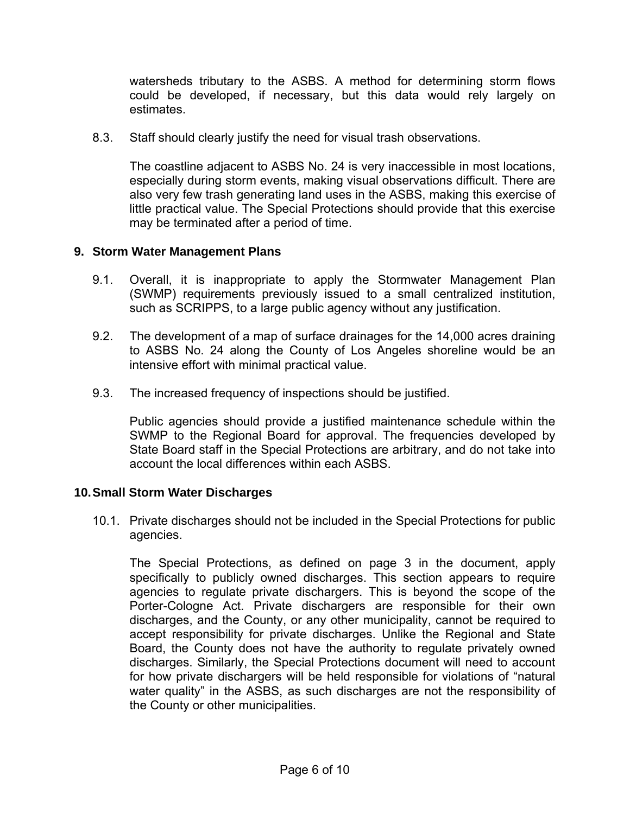watersheds tributary to the ASBS. A method for determining storm flows could be developed, if necessary, but this data would rely largely on estimates.

8.3. Staff should clearly justify the need for visual trash observations.

The coastline adjacent to ASBS No. 24 is very inaccessible in most locations, especially during storm events, making visual observations difficult. There are also very few trash generating land uses in the ASBS, making this exercise of little practical value. The Special Protections should provide that this exercise may be terminated after a period of time.

## **9. Storm Water Management Plans**

- 9.1. Overall, it is inappropriate to apply the Stormwater Management Plan (SWMP) requirements previously issued to a small centralized institution, such as SCRIPPS, to a large public agency without any justification.
- 9.2. The development of a map of surface drainages for the 14,000 acres draining to ASBS No. 24 along the County of Los Angeles shoreline would be an intensive effort with minimal practical value.
- 9.3. The increased frequency of inspections should be justified.

Public agencies should provide a justified maintenance schedule within the SWMP to the Regional Board for approval. The frequencies developed by State Board staff in the Special Protections are arbitrary, and do not take into account the local differences within each ASBS.

## **10. Small Storm Water Discharges**

10.1. Private discharges should not be included in the Special Protections for public agencies.

The Special Protections, as defined on page 3 in the document, apply specifically to publicly owned discharges. This section appears to require agencies to regulate private dischargers. This is beyond the scope of the Porter-Cologne Act. Private dischargers are responsible for their own discharges, and the County, or any other municipality, cannot be required to accept responsibility for private discharges. Unlike the Regional and State Board, the County does not have the authority to regulate privately owned discharges. Similarly, the Special Protections document will need to account for how private dischargers will be held responsible for violations of "natural water quality" in the ASBS, as such discharges are not the responsibility of the County or other municipalities.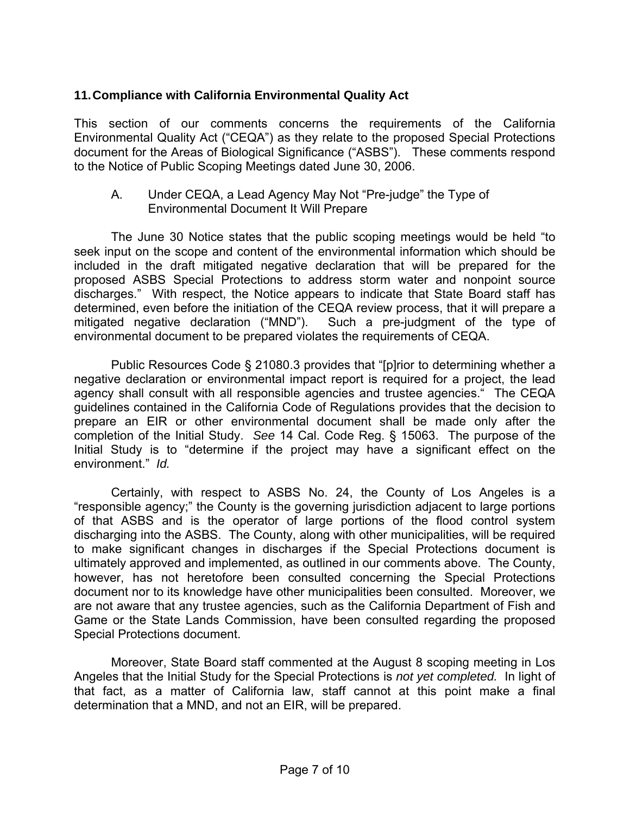## **11. Compliance with California Environmental Quality Act**

This section of our comments concerns the requirements of the California Environmental Quality Act ("CEQA") as they relate to the proposed Special Protections document for the Areas of Biological Significance ("ASBS"). These comments respond to the Notice of Public Scoping Meetings dated June 30, 2006.

 A. Under CEQA, a Lead Agency May Not "Pre-judge" the Type of Environmental Document It Will Prepare

 The June 30 Notice states that the public scoping meetings would be held "to seek input on the scope and content of the environmental information which should be included in the draft mitigated negative declaration that will be prepared for the proposed ASBS Special Protections to address storm water and nonpoint source discharges." With respect, the Notice appears to indicate that State Board staff has determined, even before the initiation of the CEQA review process, that it will prepare a mitigated negative declaration ("MND"). Such a pre-judgment of the type of environmental document to be prepared violates the requirements of CEQA.

 Public Resources Code § 21080.3 provides that "[p]rior to determining whether a negative declaration or environmental impact report is required for a project, the lead agency shall consult with all responsible agencies and trustee agencies." The CEQA guidelines contained in the California Code of Regulations provides that the decision to prepare an EIR or other environmental document shall be made only after the completion of the Initial Study. *See* 14 Cal. Code Reg. § 15063. The purpose of the Initial Study is to "determine if the project may have a significant effect on the environment." *Id.* 

 Certainly, with respect to ASBS No. 24, the County of Los Angeles is a "responsible agency;" the County is the governing jurisdiction adjacent to large portions of that ASBS and is the operator of large portions of the flood control system discharging into the ASBS. The County, along with other municipalities, will be required to make significant changes in discharges if the Special Protections document is ultimately approved and implemented, as outlined in our comments above. The County, however, has not heretofore been consulted concerning the Special Protections document nor to its knowledge have other municipalities been consulted. Moreover, we are not aware that any trustee agencies, such as the California Department of Fish and Game or the State Lands Commission, have been consulted regarding the proposed Special Protections document.

 Moreover, State Board staff commented at the August 8 scoping meeting in Los Angeles that the Initial Study for the Special Protections is *not yet completed.* In light of that fact, as a matter of California law, staff cannot at this point make a final determination that a MND, and not an EIR, will be prepared.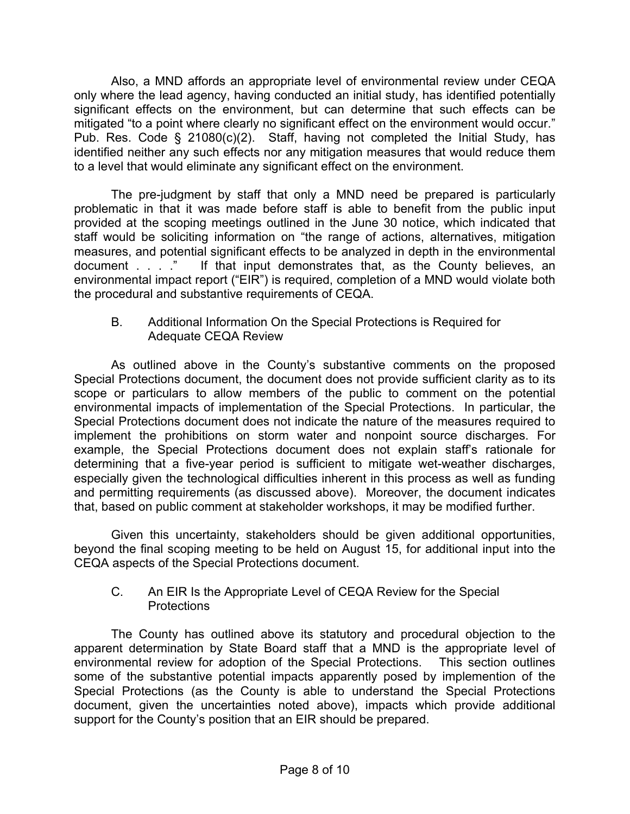Also, a MND affords an appropriate level of environmental review under CEQA only where the lead agency, having conducted an initial study, has identified potentially significant effects on the environment, but can determine that such effects can be mitigated "to a point where clearly no significant effect on the environment would occur." Pub. Res. Code § 21080(c)(2). Staff, having not completed the Initial Study, has identified neither any such effects nor any mitigation measures that would reduce them to a level that would eliminate any significant effect on the environment.

 The pre-judgment by staff that only a MND need be prepared is particularly problematic in that it was made before staff is able to benefit from the public input provided at the scoping meetings outlined in the June 30 notice, which indicated that staff would be soliciting information on "the range of actions, alternatives, mitigation measures, and potential significant effects to be analyzed in depth in the environmental document . . . . ." If that input demonstrates that, as the County believes, an If that input demonstrates that, as the County believes, an environmental impact report ("EIR") is required, completion of a MND would violate both the procedural and substantive requirements of CEQA.

## B. Additional Information On the Special Protections is Required for Adequate CEQA Review

 As outlined above in the County's substantive comments on the proposed Special Protections document, the document does not provide sufficient clarity as to its scope or particulars to allow members of the public to comment on the potential environmental impacts of implementation of the Special Protections. In particular, the Special Protections document does not indicate the nature of the measures required to implement the prohibitions on storm water and nonpoint source discharges. For example, the Special Protections document does not explain staff's rationale for determining that a five-year period is sufficient to mitigate wet-weather discharges, especially given the technological difficulties inherent in this process as well as funding and permitting requirements (as discussed above). Moreover, the document indicates that, based on public comment at stakeholder workshops, it may be modified further.

 Given this uncertainty, stakeholders should be given additional opportunities, beyond the final scoping meeting to be held on August 15, for additional input into the CEQA aspects of the Special Protections document.

## C. An EIR Is the Appropriate Level of CEQA Review for the Special **Protections**

 The County has outlined above its statutory and procedural objection to the apparent determination by State Board staff that a MND is the appropriate level of environmental review for adoption of the Special Protections. This section outlines some of the substantive potential impacts apparently posed by implemention of the Special Protections (as the County is able to understand the Special Protections document, given the uncertainties noted above), impacts which provide additional support for the County's position that an EIR should be prepared.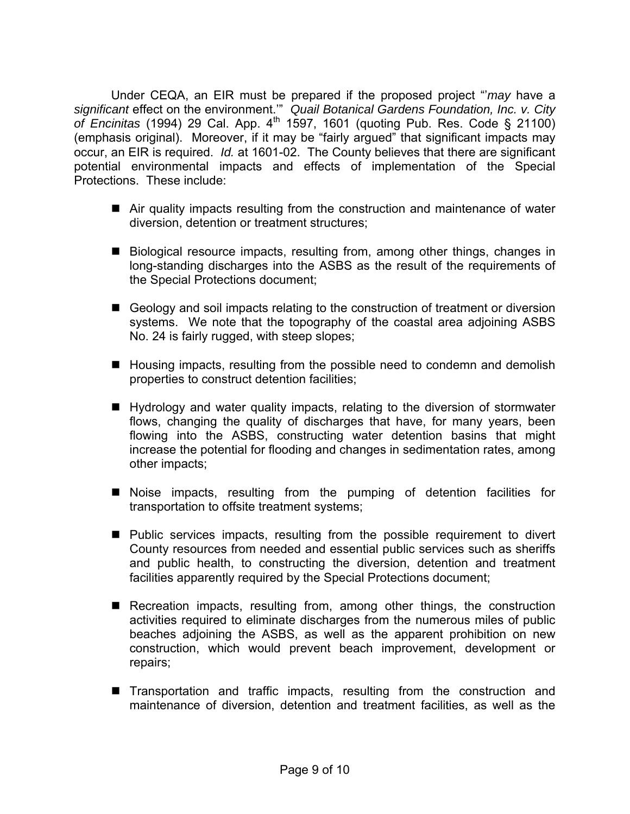Under CEQA, an EIR must be prepared if the proposed project "'*may* have a *significant* effect on the environment.'" *Quail Botanical Gardens Foundation, Inc. v. City of Encinitas* (1994) 29 Cal. App. 4th 1597, 1601 (quoting Pub. Res. Code § 21100) (emphasis original). Moreover, if it may be "fairly argued" that significant impacts may occur, an EIR is required. *Id.* at 1601-02. The County believes that there are significant potential environmental impacts and effects of implementation of the Special Protections. These include:

- Air quality impacts resulting from the construction and maintenance of water diversion, detention or treatment structures;
- Biological resource impacts, resulting from, among other things, changes in long-standing discharges into the ASBS as the result of the requirements of the Special Protections document;
- Geology and soil impacts relating to the construction of treatment or diversion systems. We note that the topography of the coastal area adjoining ASBS No. 24 is fairly rugged, with steep slopes;
- Housing impacts, resulting from the possible need to condemn and demolish properties to construct detention facilities;
- Hydrology and water quality impacts, relating to the diversion of stormwater flows, changing the quality of discharges that have, for many years, been flowing into the ASBS, constructing water detention basins that might increase the potential for flooding and changes in sedimentation rates, among other impacts;
- Noise impacts, resulting from the pumping of detention facilities for transportation to offsite treatment systems;
- **Public services impacts, resulting from the possible requirement to divert** County resources from needed and essential public services such as sheriffs and public health, to constructing the diversion, detention and treatment facilities apparently required by the Special Protections document;
- Recreation impacts, resulting from, among other things, the construction activities required to eliminate discharges from the numerous miles of public beaches adjoining the ASBS, as well as the apparent prohibition on new construction, which would prevent beach improvement, development or repairs;
- **Transportation and traffic impacts, resulting from the construction and** maintenance of diversion, detention and treatment facilities, as well as the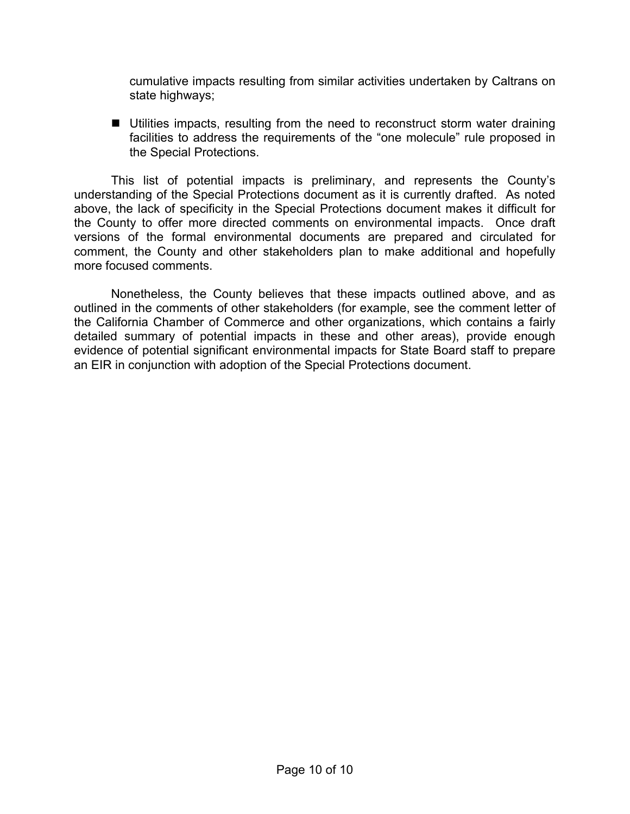cumulative impacts resulting from similar activities undertaken by Caltrans on state highways;

■ Utilities impacts, resulting from the need to reconstruct storm water draining facilities to address the requirements of the "one molecule" rule proposed in the Special Protections.

 This list of potential impacts is preliminary, and represents the County's understanding of the Special Protections document as it is currently drafted. As noted above, the lack of specificity in the Special Protections document makes it difficult for the County to offer more directed comments on environmental impacts. Once draft versions of the formal environmental documents are prepared and circulated for comment, the County and other stakeholders plan to make additional and hopefully more focused comments.

 Nonetheless, the County believes that these impacts outlined above, and as outlined in the comments of other stakeholders (for example, see the comment letter of the California Chamber of Commerce and other organizations, which contains a fairly detailed summary of potential impacts in these and other areas), provide enough evidence of potential significant environmental impacts for State Board staff to prepare an EIR in conjunction with adoption of the Special Protections document.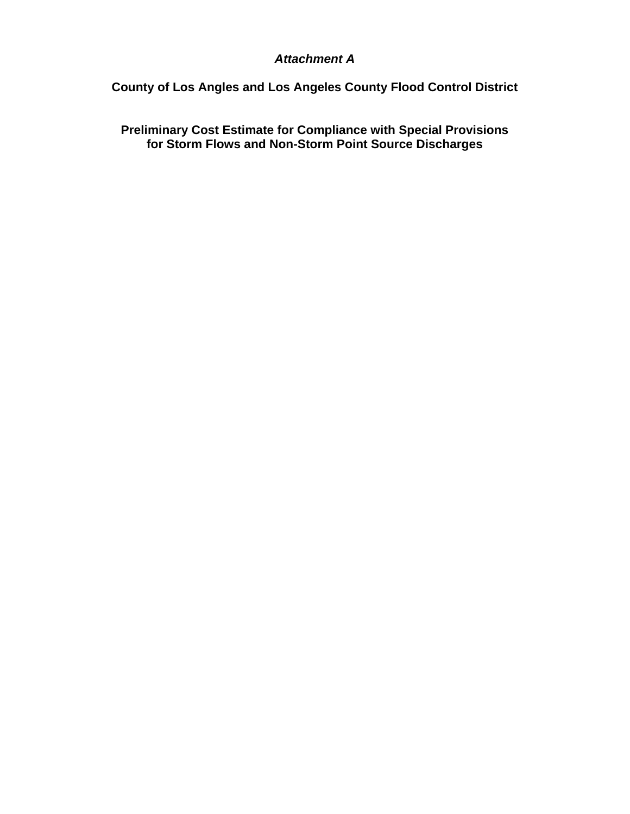## *Attachment A*

**County of Los Angles and Los Angeles County Flood Control District** 

**Preliminary Cost Estimate for Compliance with Special Provisions for Storm Flows and Non-Storm Point Source Discharges**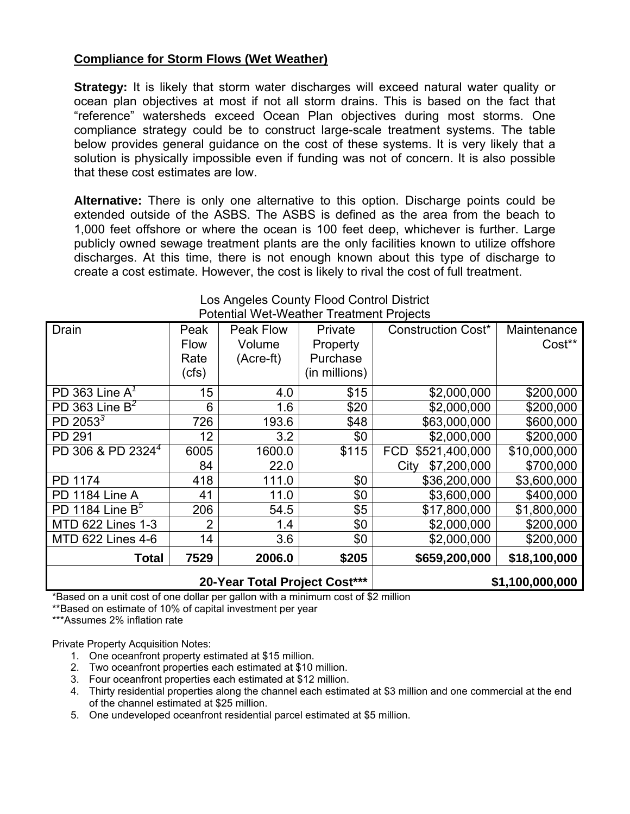## **Compliance for Storm Flows (Wet Weather)**

**Strategy:** It is likely that storm water discharges will exceed natural water quality or ocean plan objectives at most if not all storm drains. This is based on the fact that "reference" watersheds exceed Ocean Plan objectives during most storms. One compliance strategy could be to construct large-scale treatment systems. The table below provides general guidance on the cost of these systems. It is very likely that a solution is physically impossible even if funding was not of concern. It is also possible that these cost estimates are low.

**Alternative:** There is only one alternative to this option. Discharge points could be extended outside of the ASBS. The ASBS is defined as the area from the beach to 1,000 feet offshore or where the ocean is 100 feet deep, whichever is further. Large publicly owned sewage treatment plants are the only facilities known to utilize offshore discharges. At this time, there is not enough known about this type of discharge to create a cost estimate. However, the cost is likely to rival the cost of full treatment.

| Drain<br>Peak                 |                               | Peak Flow | Private         | <b>Construction Cost*</b>   |              |  |
|-------------------------------|-------------------------------|-----------|-----------------|-----------------------------|--------------|--|
|                               | <b>Flow</b>                   | Volume    | Property        |                             | Cost**       |  |
|                               | Rate                          | (Acre-ft) | Purchase        |                             |              |  |
|                               | (cfs)                         |           | (in millions)   |                             |              |  |
| PD 363 Line $A^7$             | 15                            | 4.0       | \$15            | \$2,000,000                 | \$200,000    |  |
| PD 363 Line $B^2$             | 6                             | 1.6       | \$20            | \$2,000,000                 | \$200,000    |  |
| PD 2053 $3$                   | 726                           | 193.6     | \$48            | \$63,000,000                | \$600,000    |  |
| PD 291                        | 12                            | 3.2       | \$0             | \$2,000,000                 | \$200,000    |  |
| PD 306 & PD 2324 <sup>4</sup> | 6005                          | 1600.0    | \$115           | \$521,400,000<br><b>FCD</b> | \$10,000,000 |  |
|                               | 84                            | 22.0      |                 | \$7,200,000<br>City         | \$700,000    |  |
| <b>PD 1174</b>                | 418                           | 111.0     | \$0             | \$36,200,000                | \$3,600,000  |  |
| PD 1184 Line A                | 41                            | 11.0      | \$0             | \$3,600,000                 | \$400,000    |  |
| PD 1184 Line $B^5$            | 206                           | 54.5      | \$5             | \$17,800,000                | \$1,800,000  |  |
| MTD 622 Lines 1-3             | 2                             | 1.4       | \$0             | \$2,000,000                 | \$200,000    |  |
| <b>MTD 622 Lines 4-6</b>      | 14<br>3.6                     |           | \$0             | \$2,000,000                 | \$200,000    |  |
| Total                         | 7529                          | 2006.0    | \$205           | \$659,200,000               | \$18,100,000 |  |
|                               | 20-Year Total Project Cost*** |           | \$1,100,000,000 |                             |              |  |

#### Los Angeles County Flood Control District Potential Wet-Weather Treatment Projects

\*Based on a unit cost of one dollar per gallon with a minimum cost of \$2 million

\*\*Based on estimate of 10% of capital investment per year

\*\*\*Assumes 2% inflation rate

Private Property Acquisition Notes:

- 1. One oceanfront property estimated at \$15 million.
- 2. Two oceanfront properties each estimated at \$10 million.
- 3. Four oceanfront properties each estimated at \$12 million.
- 4. Thirty residential properties along the channel each estimated at \$3 million and one commercial at the end of the channel estimated at \$25 million.
- 5. One undeveloped oceanfront residential parcel estimated at \$5 million.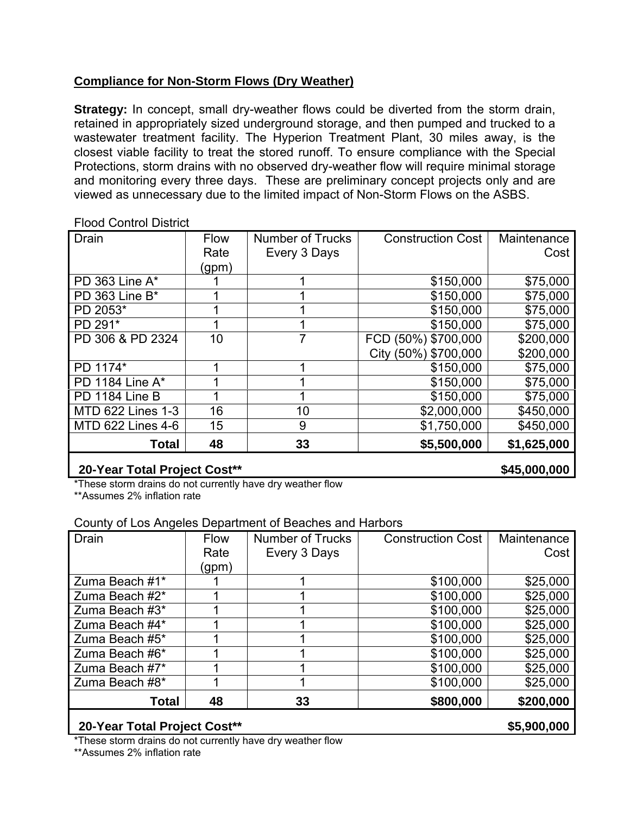## **Compliance for Non-Storm Flows (Dry Weather)**

**Strategy:** In concept, small dry-weather flows could be diverted from the storm drain, retained in appropriately sized underground storage, and then pumped and trucked to a wastewater treatment facility. The Hyperion Treatment Plant, 30 miles away, is the closest viable facility to treat the stored runoff. To ensure compliance with the Special Protections, storm drains with no observed dry-weather flow will require minimal storage and monitoring every three days. These are preliminary concept projects only and are viewed as unnecessary due to the limited impact of Non-Storm Flows on the ASBS.

#### Flood Control District

| Drain                    | Flow  | <b>Number of Trucks</b> | <b>Construction Cost</b> | Maintenance |  |
|--------------------------|-------|-------------------------|--------------------------|-------------|--|
|                          | Rate  | Every 3 Days            |                          | Cost        |  |
|                          | (gpm) |                         |                          |             |  |
| PD 363 Line A*           |       |                         | \$150,000                | \$75,000    |  |
| PD 363 Line B*           |       |                         | \$150,000                | \$75,000    |  |
| PD 2053*                 |       |                         | \$150,000                | \$75,000    |  |
| PD 291*                  |       |                         | \$150,000                | \$75,000    |  |
| PD 306 & PD 2324         | 10    | 7                       | FCD (50%) \$700,000      | \$200,000   |  |
|                          |       |                         | City (50%) \$700,000     | \$200,000   |  |
| PD 1174*                 |       |                         | \$150,000                | \$75,000    |  |
| PD 1184 Line A*          |       |                         | \$150,000                | \$75,000    |  |
| PD 1184 Line B           |       |                         | \$150,000                | \$75,000    |  |
| <b>MTD 622 Lines 1-3</b> | 16    | 10                      | \$2,000,000              | \$450,000   |  |
| MTD 622 Lines 4-6        | 15    | 9                       | \$1,750,000              | \$450,000   |  |
| Total                    | 48    | 33                      | \$5,500,000              | \$1,625,000 |  |

# **20-Year Total Project Cost\*\*** 20-Year Total Project Cost\*\*

\*These storm drains do not currently have dry weather flow \*\*Assumes 2% inflation rate

## County of Los Angeles Department of Beaches and Harbors

| Drain          | <b>Flow</b> | <b>Number of Trucks</b> | <b>Construction Cost</b> | Maintenance |  |
|----------------|-------------|-------------------------|--------------------------|-------------|--|
|                | Rate        | Every 3 Days            |                          | Cost        |  |
|                | (gpm)       |                         |                          |             |  |
| Zuma Beach #1* |             |                         | \$100,000                | \$25,000    |  |
| Zuma Beach #2* |             |                         | \$100,000                | \$25,000    |  |
| Zuma Beach #3* |             |                         | \$100,000                | \$25,000    |  |
| Zuma Beach #4* |             |                         | \$100,000                | \$25,000    |  |
| Zuma Beach #5* |             |                         | \$100,000                | \$25,000    |  |
| Zuma Beach #6* |             |                         | \$100,000                | \$25,000    |  |
| Zuma Beach #7* |             |                         | \$100,000                | \$25,000    |  |
| Zuma Beach #8* |             |                         | \$100,000                | \$25,000    |  |
| Total          | 48          | 33                      | \$800,000                | \$200,000   |  |
|                |             |                         |                          | AF AAA AAA  |  |

## **20-Year Total Project Cost\*\* \$5,900,000**

\*These storm drains do not currently have dry weather flow

\*\*Assumes 2% inflation rate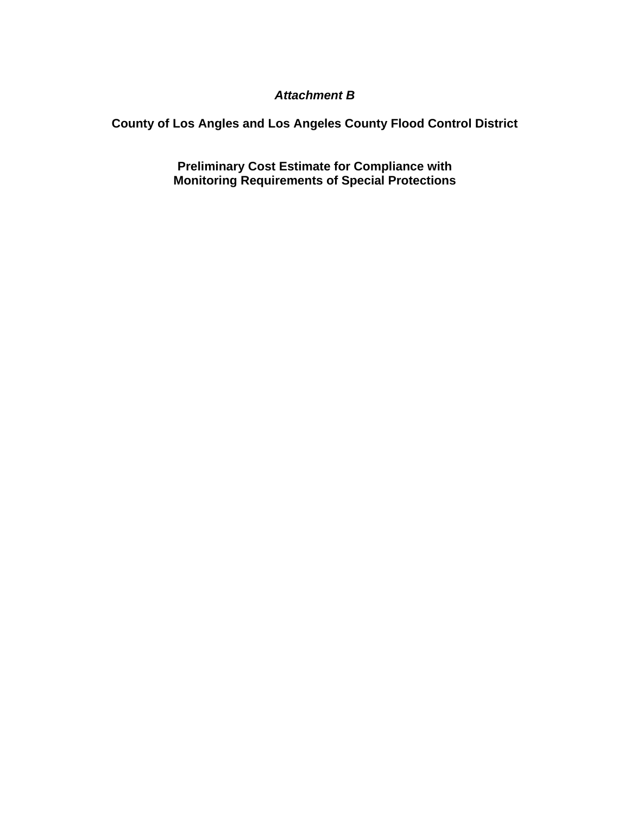## *Attachment B*

**County of Los Angles and Los Angeles County Flood Control District** 

**Preliminary Cost Estimate for Compliance with Monitoring Requirements of Special Protections**